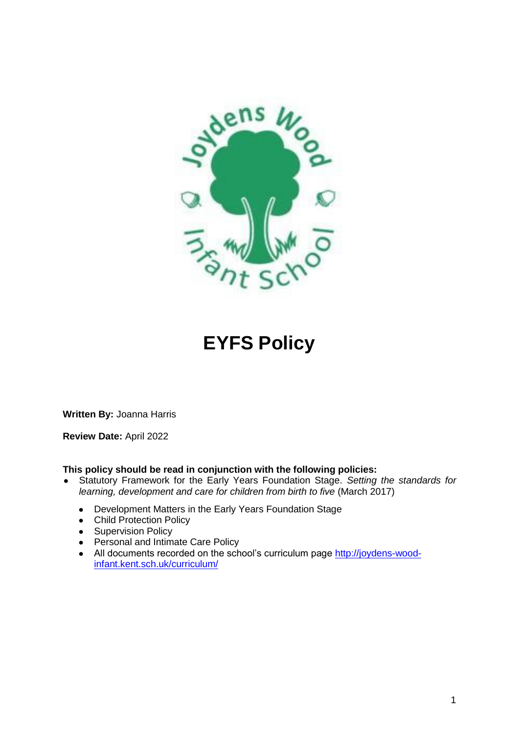



**Written By:** Joanna Harris

**Review Date:** April 2022

## **This policy should be read in conjunction with the following policies:**

- Statutory Framework for the Early Years Foundation Stage. *Setting the standards for learning, development and care for children from birth to five* (March 2017)
	- Development Matters in the Early Years Foundation Stage
	- Child Protection Policy
	- Supervision Policy
	- Personal and Intimate Care Policy
	- All documents recorded on the school's curriculum page [http://joydens-wood](http://joydens-wood-infant.kent.sch.uk/curriculum/)[infant.kent.sch.uk/curriculum/](http://joydens-wood-infant.kent.sch.uk/curriculum/)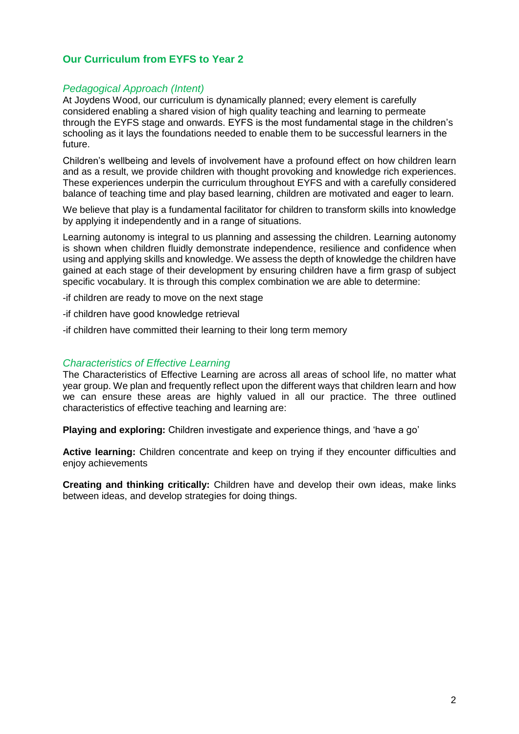# **Our Curriculum from EYFS to Year 2**

## *Pedagogical Approach (Intent)*

At Joydens Wood, our curriculum is dynamically planned; every element is carefully considered enabling a shared vision of high quality teaching and learning to permeate through the EYFS stage and onwards. EYFS is the most fundamental stage in the children's schooling as it lays the foundations needed to enable them to be successful learners in the future.

Children's wellbeing and levels of involvement have a profound effect on how children learn and as a result, we provide children with thought provoking and knowledge rich experiences. These experiences underpin the curriculum throughout EYFS and with a carefully considered balance of teaching time and play based learning, children are motivated and eager to learn.

We believe that play is a fundamental facilitator for children to transform skills into knowledge by applying it independently and in a range of situations.

Learning autonomy is integral to us planning and assessing the children. Learning autonomy is shown when children fluidly demonstrate independence, resilience and confidence when using and applying skills and knowledge. We assess the depth of knowledge the children have gained at each stage of their development by ensuring children have a firm grasp of subject specific vocabulary. It is through this complex combination we are able to determine:

-if children are ready to move on the next stage

- -if children have good knowledge retrieval
- -if children have committed their learning to their long term memory

## *Characteristics of Effective Learning*

The Characteristics of Effective Learning are across all areas of school life, no matter what year group. We plan and frequently reflect upon the different ways that children learn and how we can ensure these areas are highly valued in all our practice. The three outlined characteristics of effective teaching and learning are:

**Playing and exploring:** Children investigate and experience things, and 'have a go'

**Active learning:** Children concentrate and keep on trying if they encounter difficulties and enjoy achievements

**Creating and thinking critically:** Children have and develop their own ideas, make links between ideas, and develop strategies for doing things.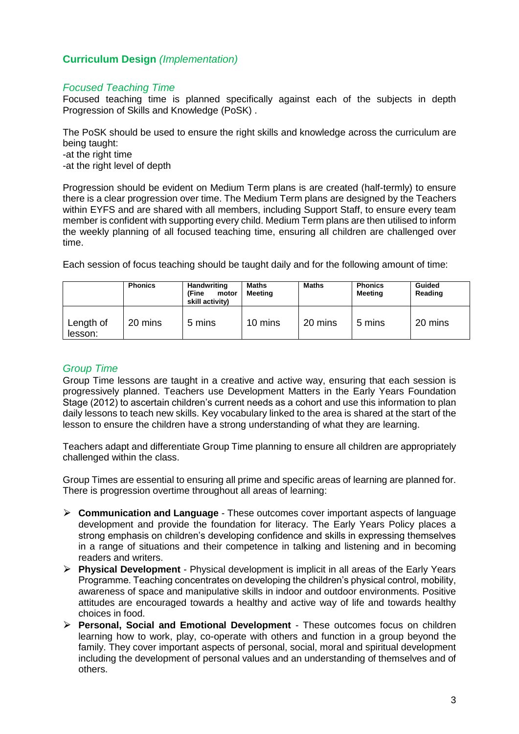## **Curriculum Design** *(Implementation)*

## *Focused Teaching Time*

Focused teaching time is planned specifically against each of the subjects in depth Progression of Skills and Knowledge (PoSK) .

The PoSK should be used to ensure the right skills and knowledge across the curriculum are being taught: -at the right time -at the right level of depth

Progression should be evident on Medium Term plans is are created (half-termly) to ensure there is a clear progression over time. The Medium Term plans are designed by the Teachers within EYFS and are shared with all members, including Support Staff, to ensure every team member is confident with supporting every child. Medium Term plans are then utilised to inform the weekly planning of all focused teaching time, ensuring all children are challenged over time.

Each session of focus teaching should be taught daily and for the following amount of time:

|                      | <b>Phonics</b> | Handwriting<br>(Fine<br>motor<br>skill activity) | Maths<br>Meeting | Maths   | <b>Phonics</b><br><b>Meeting</b> | Guided<br>Reading |
|----------------------|----------------|--------------------------------------------------|------------------|---------|----------------------------------|-------------------|
| Length of<br>lesson: | 20 mins        | 5 mins                                           | 10 mins          | 20 mins | 5 mins                           | 20 mins           |

## *Group Time*

Group Time lessons are taught in a creative and active way, ensuring that each session is progressively planned. Teachers use Development Matters in the Early Years Foundation Stage (2012) to ascertain children's current needs as a cohort and use this information to plan daily lessons to teach new skills. Key vocabulary linked to the area is shared at the start of the lesson to ensure the children have a strong understanding of what they are learning.

Teachers adapt and differentiate Group Time planning to ensure all children are appropriately challenged within the class.

Group Times are essential to ensuring all prime and specific areas of learning are planned for. There is progression overtime throughout all areas of learning:

- ⮚ **Communication and Language**  These outcomes cover important aspects of language development and provide the foundation for literacy. The Early Years Policy places a strong emphasis on children's developing confidence and skills in expressing themselves in a range of situations and their competence in talking and listening and in becoming readers and writers.
- ⮚ **Physical Development**  Physical development is implicit in all areas of the Early Years Programme. Teaching concentrates on developing the children's physical control, mobility, awareness of space and manipulative skills in indoor and outdoor environments. Positive attitudes are encouraged towards a healthy and active way of life and towards healthy choices in food.
- ⮚ **Personal, Social and Emotional Development** These outcomes focus on children learning how to work, play, co-operate with others and function in a group beyond the family. They cover important aspects of personal, social, moral and spiritual development including the development of personal values and an understanding of themselves and of others.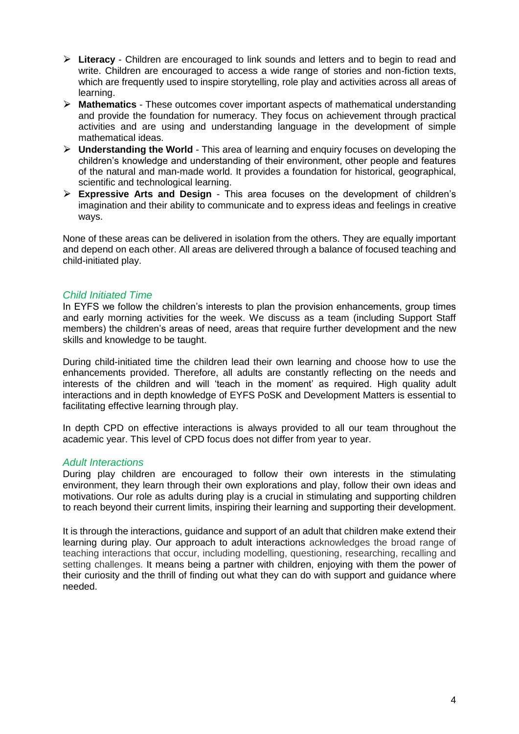- ⮚ **Literacy** Children are encouraged to link sounds and letters and to begin to read and write. Children are encouraged to access a wide range of stories and non-fiction texts, which are frequently used to inspire storytelling, role play and activities across all areas of learning.
- ⮚ **Mathematics** These outcomes cover important aspects of mathematical understanding and provide the foundation for numeracy. They focus on achievement through practical activities and are using and understanding language in the development of simple mathematical ideas.
- ⮚ **Understanding the World** This area of learning and enquiry focuses on developing the children's knowledge and understanding of their environment, other people and features of the natural and man-made world. It provides a foundation for historical, geographical, scientific and technological learning.
- ⮚ **Expressive Arts and Design**  This area focuses on the development of children's imagination and their ability to communicate and to express ideas and feelings in creative ways.

None of these areas can be delivered in isolation from the others. They are equally important and depend on each other. All areas are delivered through a balance of focused teaching and child-initiated play.

## *Child Initiated Time*

In EYFS we follow the children's interests to plan the provision enhancements, group times and early morning activities for the week. We discuss as a team (including Support Staff members) the children's areas of need, areas that require further development and the new skills and knowledge to be taught.

During child-initiated time the children lead their own learning and choose how to use the enhancements provided. Therefore, all adults are constantly reflecting on the needs and interests of the children and will 'teach in the moment' as required. High quality adult interactions and in depth knowledge of EYFS PoSK and Development Matters is essential to facilitating effective learning through play.

In depth CPD on effective interactions is always provided to all our team throughout the academic year. This level of CPD focus does not differ from year to year.

## *Adult Interactions*

During play children are encouraged to follow their own interests in the stimulating environment, they learn through their own explorations and play, follow their own ideas and motivations. Our role as adults during play is a crucial in stimulating and supporting children to reach beyond their current limits, inspiring their learning and supporting their development.

It is through the interactions, guidance and support of an adult that children make extend their learning during play. Our approach to adult interactions acknowledges the broad range of teaching interactions that occur, including modelling, questioning, researching, recalling and setting challenges. It means being a partner with children, enjoying with them the power of their curiosity and the thrill of finding out what they can do with support and guidance where needed.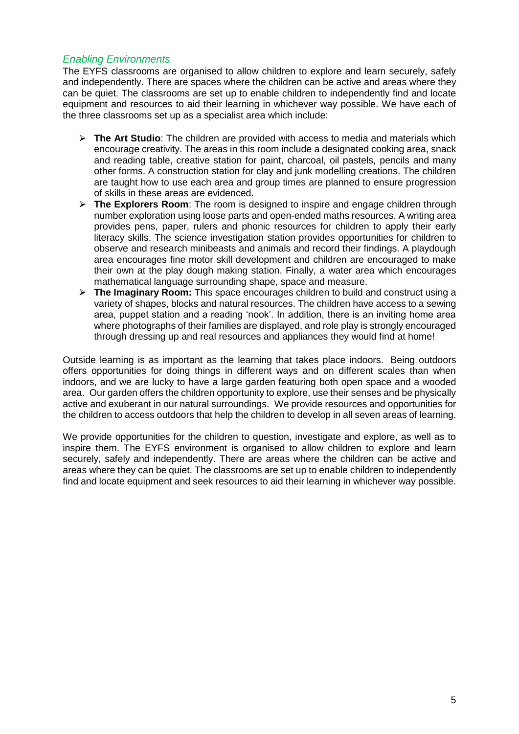# *Enabling Environments*

The EYFS classrooms are organised to allow children to explore and learn securely, safely and independently. There are spaces where the children can be active and areas where they can be quiet. The classrooms are set up to enable children to independently find and locate equipment and resources to aid their learning in whichever way possible. We have each of the three classrooms set up as a specialist area which include:

- ⮚ **The Art Studio**: The children are provided with access to media and materials which encourage creativity. The areas in this room include a designated cooking area, snack and reading table, creative station for paint, charcoal, oil pastels, pencils and many other forms. A construction station for clay and junk modelling creations. The children are taught how to use each area and group times are planned to ensure progression of skills in these areas are evidenced.
- ⮚ **The Explorers Room**: The room is designed to inspire and engage children through number exploration using loose parts and open-ended maths resources. A writing area provides pens, paper, rulers and phonic resources for children to apply their early literacy skills. The science investigation station provides opportunities for children to observe and research minibeasts and animals and record their findings. A playdough area encourages fine motor skill development and children are encouraged to make their own at the play dough making station. Finally, a water area which encourages mathematical language surrounding shape, space and measure.
- ⮚ **The Imaginary Room:** This space encourages children to build and construct using a variety of shapes, blocks and natural resources. The children have access to a sewing area, puppet station and a reading 'nook'. In addition, there is an inviting home area where photographs of their families are displayed, and role play is strongly encouraged through dressing up and real resources and appliances they would find at home!

Outside learning is as important as the learning that takes place indoors. Being outdoors offers opportunities for doing things in different ways and on different scales than when indoors, and we are lucky to have a large garden featuring both open space and a wooded area. Our garden offers the children opportunity to explore, use their senses and be physically active and exuberant in our natural surroundings. We provide resources and opportunities for the children to access outdoors that help the children to develop in all seven areas of learning.

We provide opportunities for the children to question, investigate and explore, as well as to inspire them. The EYFS environment is organised to allow children to explore and learn securely, safely and independently. There are areas where the children can be active and areas where they can be quiet. The classrooms are set up to enable children to independently find and locate equipment and seek resources to aid their learning in whichever way possible.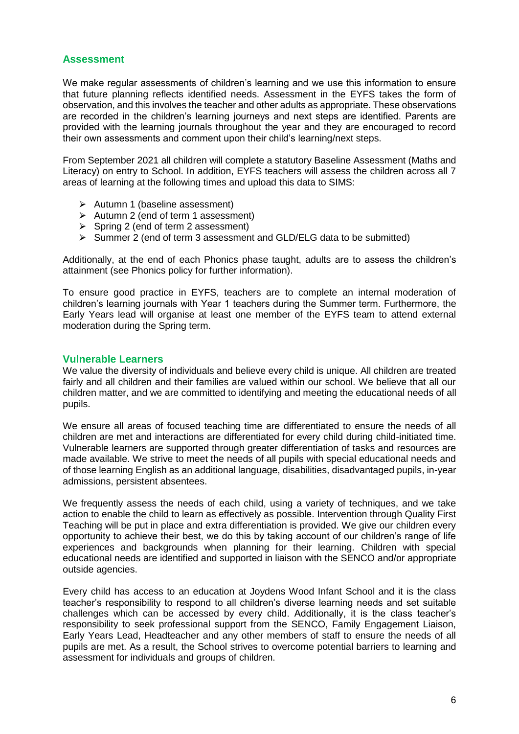## **Assessment**

We make regular assessments of children's learning and we use this information to ensure that future planning reflects identified needs. Assessment in the EYFS takes the form of observation, and this involves the teacher and other adults as appropriate. These observations are recorded in the children's learning journeys and next steps are identified. Parents are provided with the learning journals throughout the year and they are encouraged to record their own assessments and comment upon their child's learning/next steps.

From September 2021 all children will complete a statutory Baseline Assessment (Maths and Literacy) on entry to School. In addition, EYFS teachers will assess the children across all 7 areas of learning at the following times and upload this data to SIMS:

- $\triangleright$  Autumn 1 (baseline assessment)
- $\triangleright$  Autumn 2 (end of term 1 assessment)
- $\triangleright$  Spring 2 (end of term 2 assessment)
- $\triangleright$  Summer 2 (end of term 3 assessment and GLD/ELG data to be submitted)

Additionally, at the end of each Phonics phase taught, adults are to assess the children's attainment (see Phonics policy for further information).

To ensure good practice in EYFS, teachers are to complete an internal moderation of children's learning journals with Year 1 teachers during the Summer term. Furthermore, the Early Years lead will organise at least one member of the EYFS team to attend external moderation during the Spring term.

## **Vulnerable Learners**

We value the diversity of individuals and believe every child is unique. All children are treated fairly and all children and their families are valued within our school. We believe that all our children matter, and we are committed to identifying and meeting the educational needs of all pupils.

We ensure all areas of focused teaching time are differentiated to ensure the needs of all children are met and interactions are differentiated for every child during child-initiated time. Vulnerable learners are supported through greater differentiation of tasks and resources are made available. We strive to meet the needs of all pupils with special educational needs and of those learning English as an additional language, disabilities, disadvantaged pupils, in-year admissions, persistent absentees.

We frequently assess the needs of each child, using a variety of techniques, and we take action to enable the child to learn as effectively as possible. Intervention through Quality First Teaching will be put in place and extra differentiation is provided. We give our children every opportunity to achieve their best, we do this by taking account of our children's range of life experiences and backgrounds when planning for their learning. Children with special educational needs are identified and supported in liaison with the SENCO and/or appropriate outside agencies.

Every child has access to an education at Joydens Wood Infant School and it is the class teacher's responsibility to respond to all children's diverse learning needs and set suitable challenges which can be accessed by every child. Additionally, it is the class teacher's responsibility to seek professional support from the SENCO, Family Engagement Liaison, Early Years Lead, Headteacher and any other members of staff to ensure the needs of all pupils are met. As a result, the School strives to overcome potential barriers to learning and assessment for individuals and groups of children.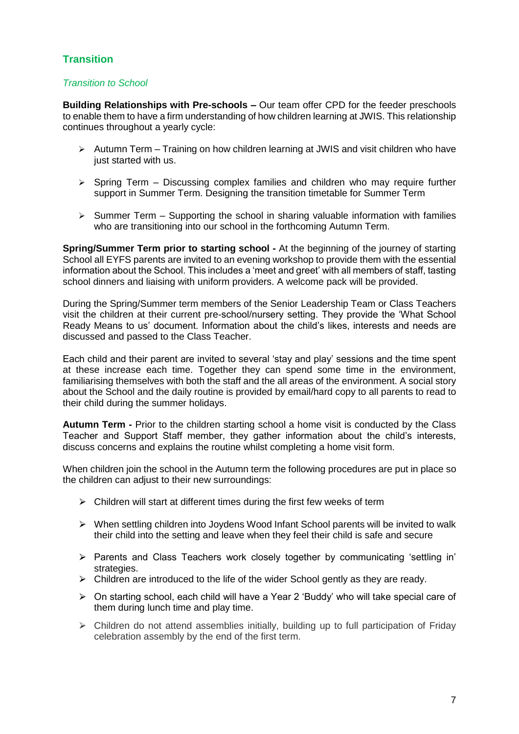# **Transition**

## *Transition to School*

**Building Relationships with Pre-schools –** Our team offer CPD for the feeder preschools to enable them to have a firm understanding of how children learning at JWIS. This relationship continues throughout a yearly cycle:

- $\triangleright$  Autumn Term Training on how children learning at JWIS and visit children who have just started with us.
- $\triangleright$  Spring Term Discussing complex families and children who may require further support in Summer Term. Designing the transition timetable for Summer Term
- $\triangleright$  Summer Term Supporting the school in sharing valuable information with families who are transitioning into our school in the forthcoming Autumn Term.

**Spring/Summer Term prior to starting school -** At the beginning of the journey of starting School all EYFS parents are invited to an evening workshop to provide them with the essential information about the School. This includes a 'meet and greet' with all members of staff, tasting school dinners and liaising with uniform providers. A welcome pack will be provided.

During the Spring/Summer term members of the Senior Leadership Team or Class Teachers visit the children at their current pre-school/nursery setting. They provide the 'What School Ready Means to us' document. Information about the child's likes, interests and needs are discussed and passed to the Class Teacher.

Each child and their parent are invited to several 'stay and play' sessions and the time spent at these increase each time. Together they can spend some time in the environment, familiarising themselves with both the staff and the all areas of the environment. A social story about the School and the daily routine is provided by email/hard copy to all parents to read to their child during the summer holidays.

**Autumn Term -** Prior to the children starting school a home visit is conducted by the Class Teacher and Support Staff member, they gather information about the child's interests, discuss concerns and explains the routine whilst completing a home visit form.

When children join the school in the Autumn term the following procedures are put in place so the children can adjust to their new surroundings:

- $\triangleright$  Children will start at different times during the first few weeks of term
- $\triangleright$  When settling children into Joydens Wood Infant School parents will be invited to walk their child into the setting and leave when they feel their child is safe and secure
- ⮚ Parents and Class Teachers work closely together by communicating 'settling in' strategies.
- $\triangleright$  Children are introduced to the life of the wider School gently as they are ready.
- ⮚ On starting school, each child will have a Year 2 'Buddy' who will take special care of them during lunch time and play time.
- $\triangleright$  Children do not attend assemblies initially, building up to full participation of Friday celebration assembly by the end of the first term.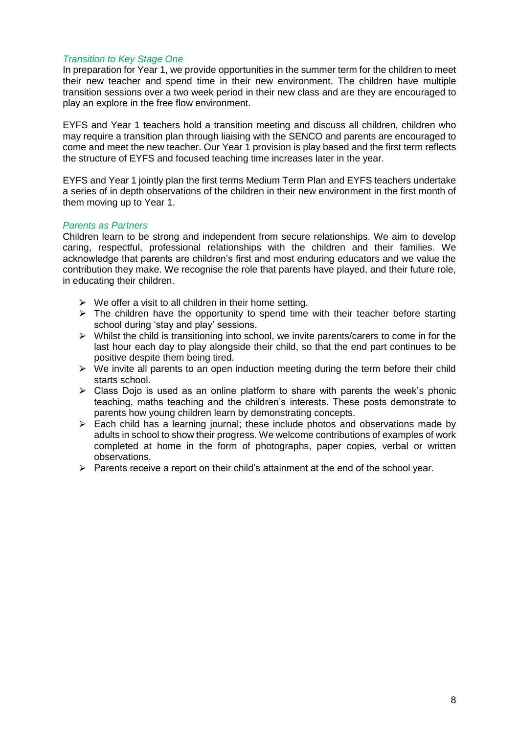### *Transition to Key Stage One*

In preparation for Year 1, we provide opportunities in the summer term for the children to meet their new teacher and spend time in their new environment. The children have multiple transition sessions over a two week period in their new class and are they are encouraged to play an explore in the free flow environment.

EYFS and Year 1 teachers hold a transition meeting and discuss all children, children who may require a transition plan through liaising with the SENCO and parents are encouraged to come and meet the new teacher. Our Year 1 provision is play based and the first term reflects the structure of EYFS and focused teaching time increases later in the year.

EYFS and Year 1 jointly plan the first terms Medium Term Plan and EYFS teachers undertake a series of in depth observations of the children in their new environment in the first month of them moving up to Year 1.

#### *Parents as Partners*

Children learn to be strong and independent from secure relationships. We aim to develop caring, respectful, professional relationships with the children and their families. We acknowledge that parents are children's first and most enduring educators and we value the contribution they make. We recognise the role that parents have played, and their future role, in educating their children.

- $\triangleright$  We offer a visit to all children in their home setting.
- $\triangleright$  The children have the opportunity to spend time with their teacher before starting school during 'stay and play' sessions.
- $\triangleright$  Whilst the child is transitioning into school, we invite parents/carers to come in for the last hour each day to play alongside their child, so that the end part continues to be positive despite them being tired.
- $\triangleright$  We invite all parents to an open induction meeting during the term before their child starts school.
- $\triangleright$  Class Dojo is used as an online platform to share with parents the week's phonic teaching, maths teaching and the children's interests. These posts demonstrate to parents how young children learn by demonstrating concepts.
- $\triangleright$  Each child has a learning journal; these include photos and observations made by adults in school to show their progress. We welcome contributions of examples of work completed at home in the form of photographs, paper copies, verbal or written observations.
- $\triangleright$  Parents receive a report on their child's attainment at the end of the school year.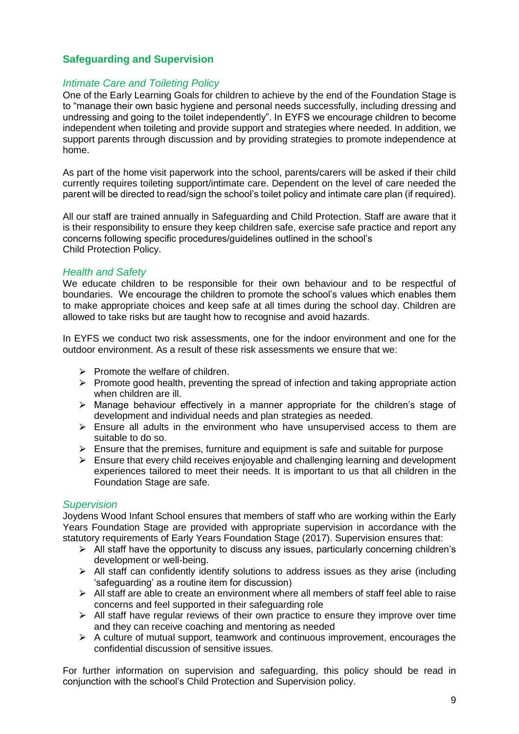# **Safeguarding and Supervision**

## *Intimate Care and Toileting Policy*

One of the Early Learning Goals for children to achieve by the end of the Foundation Stage is to "manage their own basic hygiene and personal needs successfully, including dressing and undressing and going to the toilet independently". In EYFS we encourage children to become independent when toileting and provide support and strategies where needed. In addition, we support parents through discussion and by providing strategies to promote independence at home.

As part of the home visit paperwork into the school, parents/carers will be asked if their child currently requires toileting support/intimate care. Dependent on the level of care needed the parent will be directed to read/sign the school's toilet policy and intimate care plan (if required).

All our staff are trained annually in Safeguarding and Child Protection. Staff are aware that it is their responsibility to ensure they keep children safe, exercise safe practice and report any concerns following specific procedures/guidelines outlined in the school's Child Protection Policy.

### *Health and Safety*

We educate children to be responsible for their own behaviour and to be respectful of boundaries. We encourage the children to promote the school's values which enables them to make appropriate choices and keep safe at all times during the school day. Children are allowed to take risks but are taught how to recognise and avoid hazards.

In EYFS we conduct two risk assessments, one for the indoor environment and one for the outdoor environment. As a result of these risk assessments we ensure that we:

- $\triangleright$  Promote the welfare of children.
- $\triangleright$  Promote good health, preventing the spread of infection and taking appropriate action when children are ill.
- > Manage behaviour effectively in a manner appropriate for the children's stage of development and individual needs and plan strategies as needed.
- $\triangleright$  Ensure all adults in the environment who have unsupervised access to them are suitable to do so.
- $\triangleright$  Ensure that the premises, furniture and equipment is safe and suitable for purpose
- $\triangleright$  Ensure that every child receives enjoyable and challenging learning and development experiences tailored to meet their needs. It is important to us that all children in the Foundation Stage are safe.

## *Supervision*

Joydens Wood Infant School ensures that members of staff who are working within the Early Years Foundation Stage are provided with appropriate supervision in accordance with the statutory requirements of Early Years Foundation Stage (2017). Supervision ensures that:

- $\triangleright$  All staff have the opportunity to discuss any issues, particularly concerning children's development or well-being.
- $\triangleright$  All staff can confidently identify solutions to address issues as they arise (including 'safeguarding' as a routine item for discussion)
- $\triangleright$  All staff are able to create an environment where all members of staff feel able to raise concerns and feel supported in their safeguarding role
- $\triangleright$  All staff have regular reviews of their own practice to ensure they improve over time and they can receive coaching and mentoring as needed
- $\triangleright$  A culture of mutual support, teamwork and continuous improvement, encourages the confidential discussion of sensitive issues.

For further information on supervision and safeguarding, this policy should be read in conjunction with the school's Child Protection and Supervision policy.